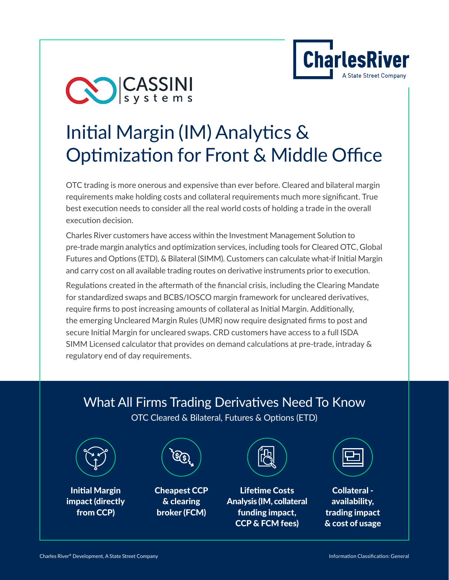

# CO CASSINI

## Initial Margin (IM) Analytics & Optimization for Front & Middle Office

OTC trading is more onerous and expensive than ever before. Cleared and bilateral margin requirements make holding costs and collateral requirements much more significant. True best execution needs to consider all the real world costs of holding a trade in the overall execution decision.

Charles River customers have access within the Investment Management Solution to pre-trade margin analytics and optimization services, including tools for Cleared OTC, Global Futures and Options (ETD), & Bilateral (SIMM). Customers can calculate what-if Initial Margin and carry cost on all available trading routes on derivative instruments prior to execution.

Regulations created in the aftermath of the financial crisis, including the Clearing Mandate for standardized swaps and BCBS/IOSCO margin framework for uncleared derivatives, require firms to post increasing amounts of collateral as Initial Margin. Additionally, the emerging Uncleared Margin Rules (UMR) now require designated firms to post and secure Initial Margin for uncleared swaps. CRD customers have access to a full ISDA SIMM Licensed calculator that provides on demand calculations at pre-trade, intraday & regulatory end of day requirements.

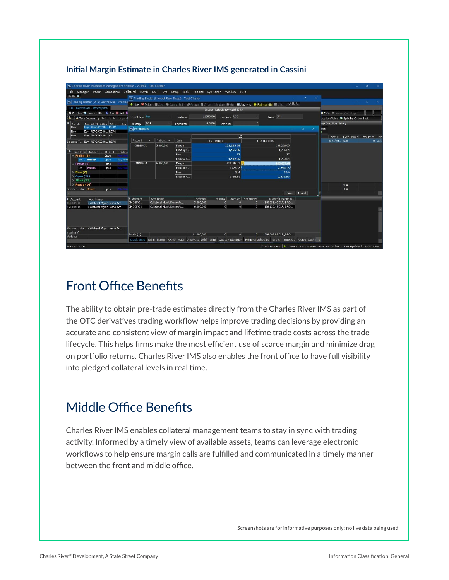#### **Initial Margin Estimate in Charles River IMS generated in Cassini**

|                                                                                                                                                                    | Charles River Investment Management Solution - v20R3 - Test Cluster                              |                       |                                                     |                   |                                      |                                  |              |                    |                                                                                                                           |                                                   |                                                                                      | $\sigma$ . |
|--------------------------------------------------------------------------------------------------------------------------------------------------------------------|--------------------------------------------------------------------------------------------------|-----------------------|-----------------------------------------------------|-------------------|--------------------------------------|----------------------------------|--------------|--------------------|---------------------------------------------------------------------------------------------------------------------------|---------------------------------------------------|--------------------------------------------------------------------------------------|------------|
|                                                                                                                                                                    | File Manager Trader Compliance Collateral PMAR IBOR DM Setup Tools Reports Sys Admin Window Help |                       |                                                     |                   |                                      |                                  |              |                    |                                                                                                                           |                                                   |                                                                                      |            |
| <b>巴巴 Q</b>                                                                                                                                                        |                                                                                                  |                       | Trading Blotter (Interest Rate Swap) - Test Cluster |                   |                                      |                                  |              |                    |                                                                                                                           |                                                   |                                                                                      |            |
|                                                                                                                                                                    | Trading Blotter (OTC Derivatives - Worksp                                                        |                       |                                                     |                   |                                      |                                  |              |                    |                                                                                                                           |                                                   |                                                                                      |            |
|                                                                                                                                                                    | OTC Derivatives - Workspace                                                                      |                       |                                                     |                   |                                      | Interest Rate Swap - Quick Entry |              |                    | + New ¥ Delete W Save · Cancel Edits · Group ■ Create Schedule ■ Gen W Analytics ■ Estimate IM ■ Clear : ◆ ■ Sa           |                                                   |                                                                                      |            |
|                                                                                                                                                                    | 图 Profiles Ra Save Profile B Buy B Sell B                                                        |                       |                                                     |                   |                                      |                                  |              |                    |                                                                                                                           |                                                   | ■ QOS # Make Multi-Leg ·                                                             |            |
|                                                                                                                                                                    | Take Ownership <sup>1</sup> > Split <sup>1</sup> - Merge -                                       | Fix CF Pos Pay        |                                                     | Notional          | 11000000                             |                                  | Currency USD |                    | Tenor 5Y                                                                                                                  |                                                   | pcation Value <b>&amp;</b> Split by Order Basis                                      |            |
| II.<br><b>Status</b>                                                                                                                                               | S Order Acco Sec Tic                                                                             | Counterp BOA          |                                                     | <b>Fixed Rate</b> | 0.0000                               | Principal                        |              | $\overline{0}$     |                                                                                                                           |                                                   | ap Execution History                                                                 |            |
| <b>New</b>                                                                                                                                                         | <b>Buy REPOACCOD REPO</b>                                                                        | Estimate IM<br>$\Box$ |                                                     |                   |                                      |                                  |              |                    |                                                                                                                           |                                                   | eve                                                                                  |            |
| New<br><b>New</b>                                                                                                                                                  | Buy REPOACC00 REPO<br>Buy FIACC00120 CB                                                          | LCH                   |                                                     |                   |                                      |                                  |              |                    |                                                                                                                           |                                                   |                                                                                      |            |
|                                                                                                                                                                    |                                                                                                  | Account               | Notion -                                            | Data              |                                      | <b>CLR_BROKER1</b>               |              | <b>CLR BROKER2</b> |                                                                                                                           | Exec Ti Exec Broker Exec Price Exe<br>8/21/20 BOA | 0.581                                                                                |            |
| Selected T Buy REPOACC00 REPO                                                                                                                                      |                                                                                                  | CMDEMO1               | 5,000,000                                           | Margin            | 121,255.39                           |                                  |              |                    | 142,236.65                                                                                                                |                                                   |                                                                                      |            |
| Sec Type Status -<br>OTC TT Trade<br>$\blacktriangleright$ Prelim (1)<br>Open<br>SW Ready<br>Pay Fixe<br>Open<br>PreOK $(1)$<br>Open<br>SW PreOK<br>Open<br>New(7) |                                                                                                  |                       |                                                     | Funding C         |                                      | 1,455.06<br>1.706.84<br>27<br>27 |              |                    |                                                                                                                           |                                                   |                                                                                      |            |
|                                                                                                                                                                    |                                                                                                  |                       |                                                     | Fees              |                                      |                                  |              |                    |                                                                                                                           |                                                   |                                                                                      |            |
|                                                                                                                                                                    |                                                                                                  |                       |                                                     | Lifetime C.       | 1,482.06                             |                                  |              |                    | 1.733.84                                                                                                                  |                                                   |                                                                                      |            |
|                                                                                                                                                                    |                                                                                                  | CMDEMO2               | 6,000,000                                           | Margin            |                                      | 143,598.23<br>186.677.6          |              |                    |                                                                                                                           |                                                   |                                                                                      |            |
|                                                                                                                                                                    |                                                                                                  |                       |                                                     | Funding C<br>Fees | 1,723.18<br>2,240.13<br>32.4<br>32.4 |                                  |              |                    |                                                                                                                           |                                                   |                                                                                      |            |
| Open $(21)$                                                                                                                                                        |                                                                                                  |                       |                                                     | Lifetime C        |                                      |                                  | 1.755.58     |                    | 2.272.53                                                                                                                  |                                                   |                                                                                      |            |
| $\rightarrow$ Work (17)                                                                                                                                            |                                                                                                  |                       |                                                     |                   |                                      |                                  |              |                    |                                                                                                                           |                                                   |                                                                                      |            |
| $\ge$ Ready (14)                                                                                                                                                   |                                                                                                  |                       |                                                     |                   |                                      |                                  |              |                    |                                                                                                                           |                                                   | <b>BOA</b>                                                                           |            |
| Selected Tota Ready                                                                                                                                                | Open                                                                                             |                       |                                                     |                   |                                      |                                  |              |                    | Save                                                                                                                      | Cancel                                            | <b>BOA</b>                                                                           |            |
| п                                                                                                                                                                  |                                                                                                  | <sup>a</sup> Account  | Acct Name                                           |                   | Notional                             | Principal                        | Accrued      | Net Money          | IM Amt Clearing B                                                                                                         |                                                   |                                                                                      |            |
| Account<br>CMDEMO1                                                                                                                                                 | <b>Acct Name</b><br>Collateral Mgmt Demo Acc                                                     | CMDEMO1               | Collateral Momt Demo Acc                            |                   | 5,000,000                            | $\sqrt{2}$                       | n            | $\theta$           | 140,233.40 CLR_BRO                                                                                                        |                                                   |                                                                                      |            |
| CMDEMO <sub>2</sub>                                                                                                                                                | Collateral Mgmt Demo Acc                                                                         | CMDEMO2               | Collateral Mgmt Demo Acc                            |                   | 6,000,000                            | $\overline{0}$                   | $\mathbf{0}$ | $\mathbf{0}$       | 178,135.48 CLR_BRO                                                                                                        |                                                   |                                                                                      |            |
|                                                                                                                                                                    |                                                                                                  |                       |                                                     |                   |                                      |                                  |              |                    |                                                                                                                           |                                                   |                                                                                      |            |
|                                                                                                                                                                    |                                                                                                  |                       |                                                     |                   |                                      |                                  |              |                    |                                                                                                                           |                                                   |                                                                                      |            |
|                                                                                                                                                                    |                                                                                                  |                       |                                                     |                   |                                      |                                  |              |                    |                                                                                                                           |                                                   |                                                                                      |            |
|                                                                                                                                                                    | Selected Total Collateral Mgmt Demo Acc                                                          |                       |                                                     |                   |                                      |                                  |              |                    |                                                                                                                           |                                                   |                                                                                      |            |
| Totals (2)                                                                                                                                                         |                                                                                                  | Totals (2)            |                                                     |                   | 11,000,000                           | $\mathbf{0}$                     | $\mathbf{0}$ | $\mathbf{0}$       | 318,368.88 CLR_BRO                                                                                                        |                                                   |                                                                                      |            |
| Variance                                                                                                                                                           |                                                                                                  |                       |                                                     |                   |                                      |                                  |              |                    | Quick Entry Main Margin Other Audit Analytics Addl Terms Quote / Execution Notional Schedule Target Target Opt Curve Cash |                                                   |                                                                                      |            |
| Results 1 of 61                                                                                                                                                    |                                                                                                  |                       |                                                     |                   |                                      |                                  |              |                    |                                                                                                                           |                                                   | Trade Monitor   Current User's Active Derivatives Orders * Last Updated: 12:26:22 PM |            |
|                                                                                                                                                                    |                                                                                                  |                       |                                                     |                   |                                      |                                  |              |                    |                                                                                                                           |                                                   |                                                                                      |            |

## Front Office Benefits

The ability to obtain pre-trade estimates directly from the Charles River IMS as part of the OTC derivatives trading workflow helps improve trading decisions by providing an accurate and consistent view of margin impact and lifetime trade costs across the trade lifecycle. This helps firms make the most efficient use of scarce margin and minimize drag on portfolio returns. Charles River IMS also enables the front office to have full visibility into pledged collateral levels in real time.

## Middle Office Benefits

Charles River IMS enables collateral management teams to stay in sync with trading activity. Informed by a timely view of available assets, teams can leverage electronic workflows to help ensure margin calls are fulfilled and communicated in a timely manner between the front and middle office.

Screenshots are for informative purposes only; no live data being used.